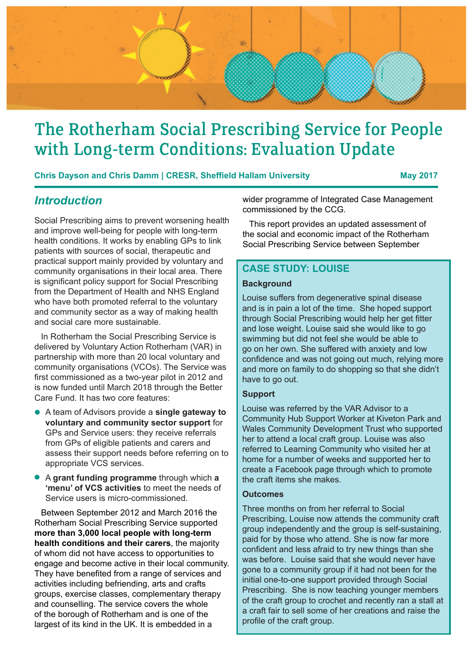

# The Rotherham Social Prescribing Service for People with Long-term Conditions: Evaluation Update

**Chris Dayson and Chris Damm | CRESR, Sheffield Hallam University | May 2017** 

### *Introduction*

Social Prescribing aims to prevent worsening health and improve well-being for people with long-term health conditions. It works by enabling GPs to link patients with sources of social, therapeutic and practical support mainly provided by voluntary and community organisations in their local area. There is significant policy support for Social Prescribing from the Department of Health and NHS England who have both promoted referral to the voluntary and community sector as a way of making health and social care more sustainable.

In Rotherham the Social Prescribing Service is delivered by Voluntary Action Rotherham (VAR) in partnership with more than 20 local voluntary and community organisations (VCOs). The Service was first commissioned as a two-year pilot in 2012 and is now funded until March 2018 through the Better Care Fund. It has two core features:

- A team of Advisors provide a **single gateway to voluntary and community sector support** for GPs and Service users: they receive referrals from GPs of eligible patients and carers and assess their support needs before referring on to appropriate VCS services.
- A **grant funding programme** through which **a 'menu' of VCS activities** to meet the needs of Service users is micro-commissioned.

Between September 2012 and March 2016 the Rotherham Social Prescribing Service supported **more than 3,000 local people with long-term health conditions and their carers**, the majority of whom did not have access to opportunities to engage and become active in their local community. They have benefited from a range of services and activities including befriending, arts and crafts groups, exercise classes, complementary therapy and counselling. The service covers the whole of the borough of Rotherham and is one of the largest of its kind in the UK. It is embedded in a

wider programme of Integrated Case Management commissioned by the CCG.

This report provides an updated assessment of the social and economic impact of the Rotherham Social Prescribing Service between September

### **CASE STUDY: LOUISE**

#### **Background**

Louise suffers from degenerative spinal disease and is in pain a lot of the time. She hoped support through Social Prescribing would help her get fitter and lose weight. Louise said she would like to go swimming but did not feel she would be able to go on her own. She suffered with anxiety and low confidence and was not going out much, relying more and more on family to do shopping so that she didn't have to go out.

#### **Support**

Louise was referred by the VAR Advisor to a Community Hub Support Worker at Kiveton Park and Wales Community Development Trust who supported her to attend a local craft group. Louise was also referred to Learning Community who visited her at home for a number of weeks and supported her to create a Facebook page through which to promote the craft items she makes.

#### **Outcomes**

Three months on from her referral to Social Prescribing, Louise now attends the community craft group independently and the group is self-sustaining, paid for by those who attend. She is now far more confident and less afraid to try new things than she was before. Louise said that she would never have gone to a community group if it had not been for the initial one-to-one support provided through Social Prescribing. She is now teaching younger members of the craft group to crochet and recently ran a stall at a craft fair to sell some of her creations and raise the profile of the craft group.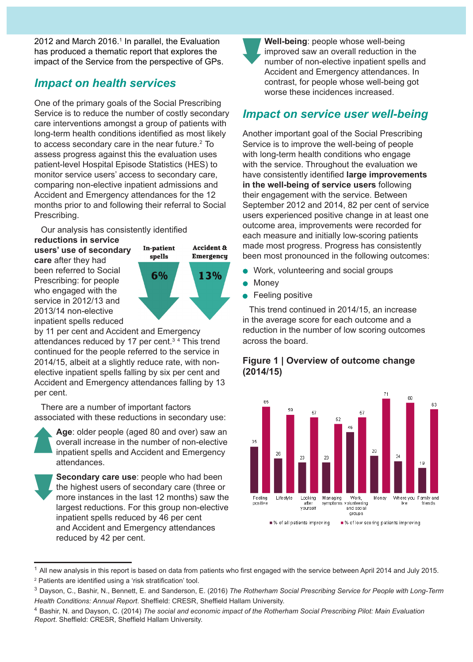2012 and March 2016.<sup>1</sup> In parallel, the Evaluation has produced a thematic report that explores the impact of the Service from the perspective of GPs.

### *Impact on health services*

One of the primary goals of the Social Prescribing Service is to reduce the number of costly secondary care interventions amongst a group of patients with long-term health conditions identified as most likely to access secondary care in the near future.<sup>2</sup> To assess progress against this the evaluation uses patient-level Hospital Episode Statistics (HES) to monitor service users' access to secondary care, comparing non-elective inpatient admissions and Accident and Emergency attendances for the 12 months prior to and following their referral to Social Prescribing.

Our analysis has consistently identified

**reductions in service users' use of secondary care** after they had been referred to Social Prescribing: for people who engaged with the service in 2012/13 and 2013/14 non-elective inpatient spells reduced



by 11 per cent and Accident and Emergency attendances reduced by 17 per cent.<sup>34</sup> This trend continued for the people referred to the service in 2014/15, albeit at a slightly reduce rate, with nonelective inpatient spells falling by six per cent and Accident and Emergency attendances falling by 13 per cent.

There are a number of important factors associated with these reductions in secondary use:



**Age**: older people (aged 80 and over) saw an overall increase in the number of non-elective inpatient spells and Accident and Emergency attendances.

**Secondary care use**: people who had been the highest users of secondary care (three or more instances in the last 12 months) saw the largest reductions. For this group non-elective inpatient spells reduced by 46 per cent and Accident and Emergency attendances reduced by 42 per cent.

**Well-being**: people whose well-being improved saw an overall reduction in the number of non-elective inpatient spells and Accident and Emergency attendances. In contrast, for people whose well-being got worse these incidences increased.

## *Impact on service user well-being*

Another important goal of the Social Prescribing Service is to improve the well-being of people with long-term health conditions who engage with the service. Throughout the evaluation we have consistently identified **large improvements in the well-being of service users** following their engagement with the service. Between September 2012 and 2014, 82 per cent of service users experienced positive change in at least one outcome area, improvements were recorded for each measure and initially low-scoring patients made most progress. Progress has consistently been most pronounced in the following outcomes:

- Work, volunteering and social groups
- Money
- Feeling positive

This trend continued in 2014/15, an increase in the average score for each outcome and a reduction in the number of low scoring outcomes across the board.

#### **Figure 1 | Overview of outcome change (2014/15)**



<sup>&</sup>lt;sup>1</sup> All new analysis in this report is based on data from patients who first engaged with the service between April 2014 and July 2015. 2 Patients are identified using a 'risk stratification' tool.

<sup>3</sup> Dayson, C., Bashir, N., Bennett, E. and Sanderson, E. (2016) *The Rotherham Social Prescribing Service for People with Long-Term Health Conditions: Annual Report*. Sheffield: CRESR, Sheffield Hallam University.

<sup>4</sup> Bashir, N. and Dayson, C. (2014) *The social and economic impact of the Rotherham Social Prescribing Pilot: Main Evaluation Report*. Sheffield: CRESR, Sheffield Hallam University.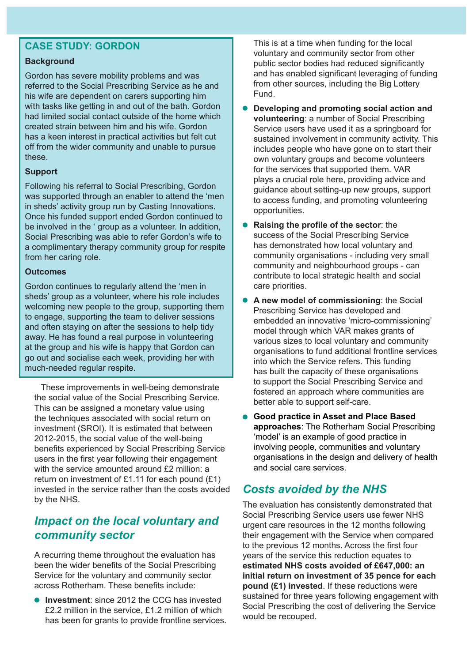### **CASE STUDY: GORDON**

#### **Background**

Gordon has severe mobility problems and was referred to the Social Prescribing Service as he and his wife are dependent on carers supporting him with tasks like getting in and out of the bath. Gordon had limited social contact outside of the home which created strain between him and his wife. Gordon has a keen interest in practical activities but felt cut off from the wider community and unable to pursue these.

#### **Support**

Following his referral to Social Prescribing, Gordon was supported through an enabler to attend the 'men in sheds' activity group run by Casting Innovations. Once his funded support ended Gordon continued to be involved in the ' group as a volunteer. In addition, Social Prescribing was able to refer Gordon's wife to a complimentary therapy community group for respite from her caring role.

#### **Outcomes**

Gordon continues to regularly attend the 'men in sheds' group as a volunteer, where his role includes welcoming new people to the group, supporting them to engage, supporting the team to deliver sessions and often staying on after the sessions to help tidy away. He has found a real purpose in volunteering at the group and his wife is happy that Gordon can go out and socialise each week, providing her with much-needed regular respite.

These improvements in well-being demonstrate the social value of the Social Prescribing Service. This can be assigned a monetary value using the techniques associated with social return on investment (SROI). It is estimated that between 2012-2015, the social value of the well-being benefits experienced by Social Prescribing Service users in the first year following their engagement with the service amounted around £2 million: a return on investment of £1.11 for each pound  $(E1)$ invested in the service rather than the costs avoided by the NHS.

### *Impact on the local voluntary and community sector*

A recurring theme throughout the evaluation has been the wider benefits of the Social Prescribing Service for the voluntary and community sector across Rotherham. These benefits include:

**Investment**: since 2012 the CCG has invested £2.2 million in the service, £1.2 million of which has been for grants to provide frontline services. This is at a time when funding for the local voluntary and community sector from other public sector bodies had reduced significantly and has enabled significant leveraging of funding from other sources, including the Big Lottery Fund.

- **Developing and promoting social action and volunteering**: a number of Social Prescribing Service users have used it as a springboard for sustained involvement in community activity. This includes people who have gone on to start their own voluntary groups and become volunteers for the services that supported them. VAR plays a crucial role here, providing advice and guidance about setting-up new groups, support to access funding, and promoting volunteering opportunities.
- **Raising the profile of the sector**: the success of the Social Prescribing Service has demonstrated how local voluntary and community organisations - including very small community and neighbourhood groups - can contribute to local strategic health and social care priorities.
- $\bullet$ **A new model of commissioning**: the Social Prescribing Service has developed and embedded an innovative 'micro-commissioning' model through which VAR makes grants of various sizes to local voluntary and community organisations to fund additional frontline services into which the Service refers. This funding has built the capacity of these organisations to support the Social Prescribing Service and fostered an approach where communities are better able to support self-care.
- **Good practice in Asset and Place Based approaches**: The Rotherham Social Prescribing 'model' is an example of good practice in involving people, communities and voluntary organisations in the design and delivery of health and social care services.

# *Costs avoided by the NHS*

The evaluation has consistently demonstrated that Social Prescribing Service users use fewer NHS urgent care resources in the 12 months following their engagement with the Service when compared to the previous 12 months. Across the first four years of the service this reduction equates to **estimated NHS costs avoided of £647,000: an initial return on investment of 35 pence for each pound (£1) invested**. If these reductions were sustained for three years following engagement with Social Prescribing the cost of delivering the Service would be recouped.